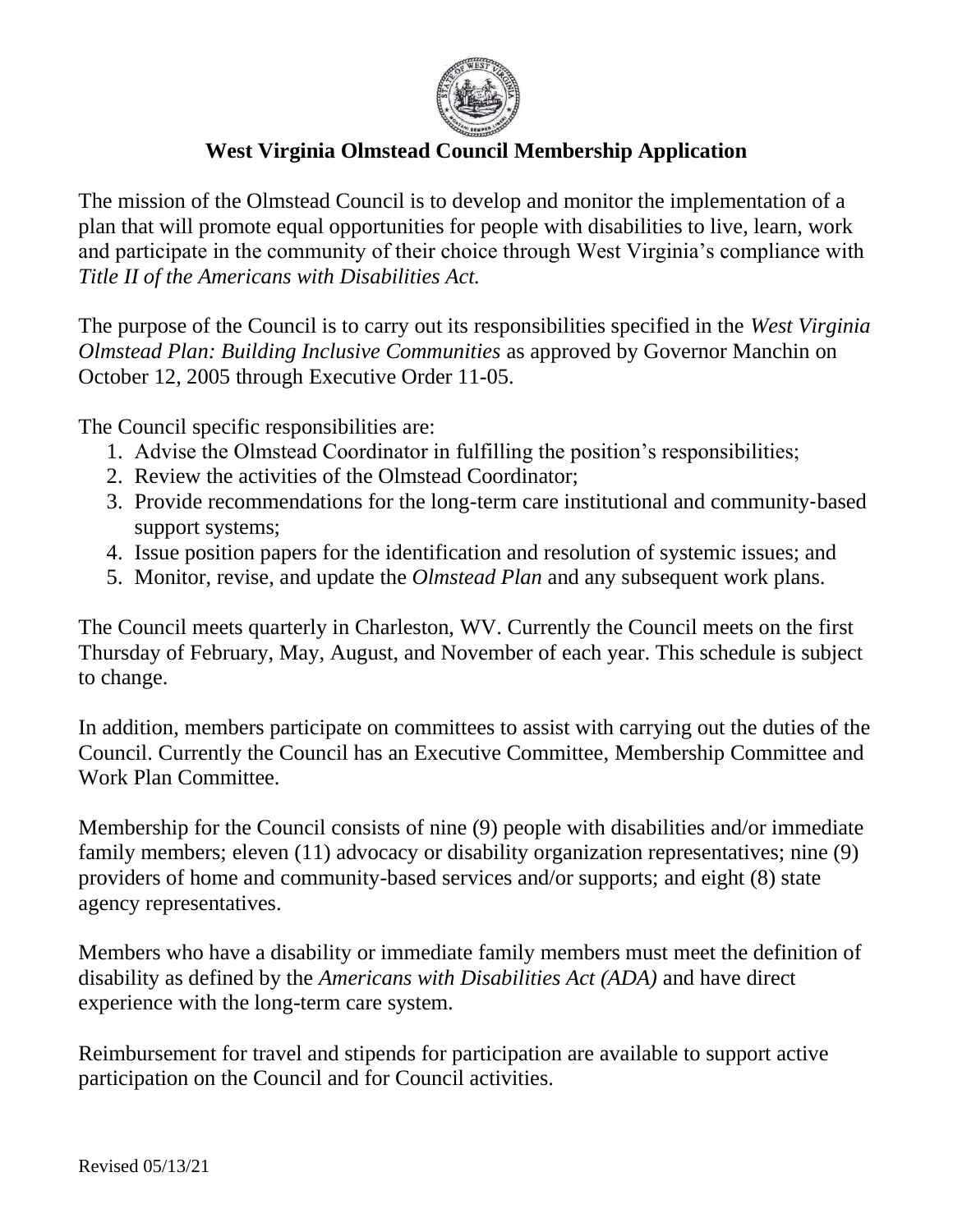

## **West Virginia Olmstead Council Membership Application**

The mission of the Olmstead Council is to develop and monitor the implementation of a plan that will promote equal opportunities for people with disabilities to live, learn, work and participate in the community of their choice through West Virginia's compliance with *Title II of the Americans with Disabilities Act.*

The purpose of the Council is to carry out its responsibilities specified in the *West Virginia Olmstead Plan: Building Inclusive Communities* as approved by Governor Manchin on October 12, 2005 through Executive Order 11-05.

The Council specific responsibilities are:

- 1. Advise the Olmstead Coordinator in fulfilling the position's responsibilities;
- 2. Review the activities of the Olmstead Coordinator;
- 3. Provide recommendations for the long-term care institutional and community‐based support systems;
- 4. Issue position papers for the identification and resolution of systemic issues; and
- 5. Monitor, revise, and update the *Olmstead Plan* and any subsequent work plans.

The Council meets quarterly in Charleston, WV. Currently the Council meets on the first Thursday of February, May, August, and November of each year. This schedule is subject to change.

In addition, members participate on committees to assist with carrying out the duties of the Council. Currently the Council has an Executive Committee, Membership Committee and Work Plan Committee.

Membership for the Council consists of nine (9) people with disabilities and/or immediate family members; eleven (11) advocacy or disability organization representatives; nine (9) providers of home and community-based services and/or supports; and eight (8) state agency representatives.

Members who have a disability or immediate family members must meet the definition of disability as defined by the *Americans with Disabilities Act (ADA)* and have direct experience with the long-term care system.

Reimbursement for travel and stipends for participation are available to support active participation on the Council and for Council activities.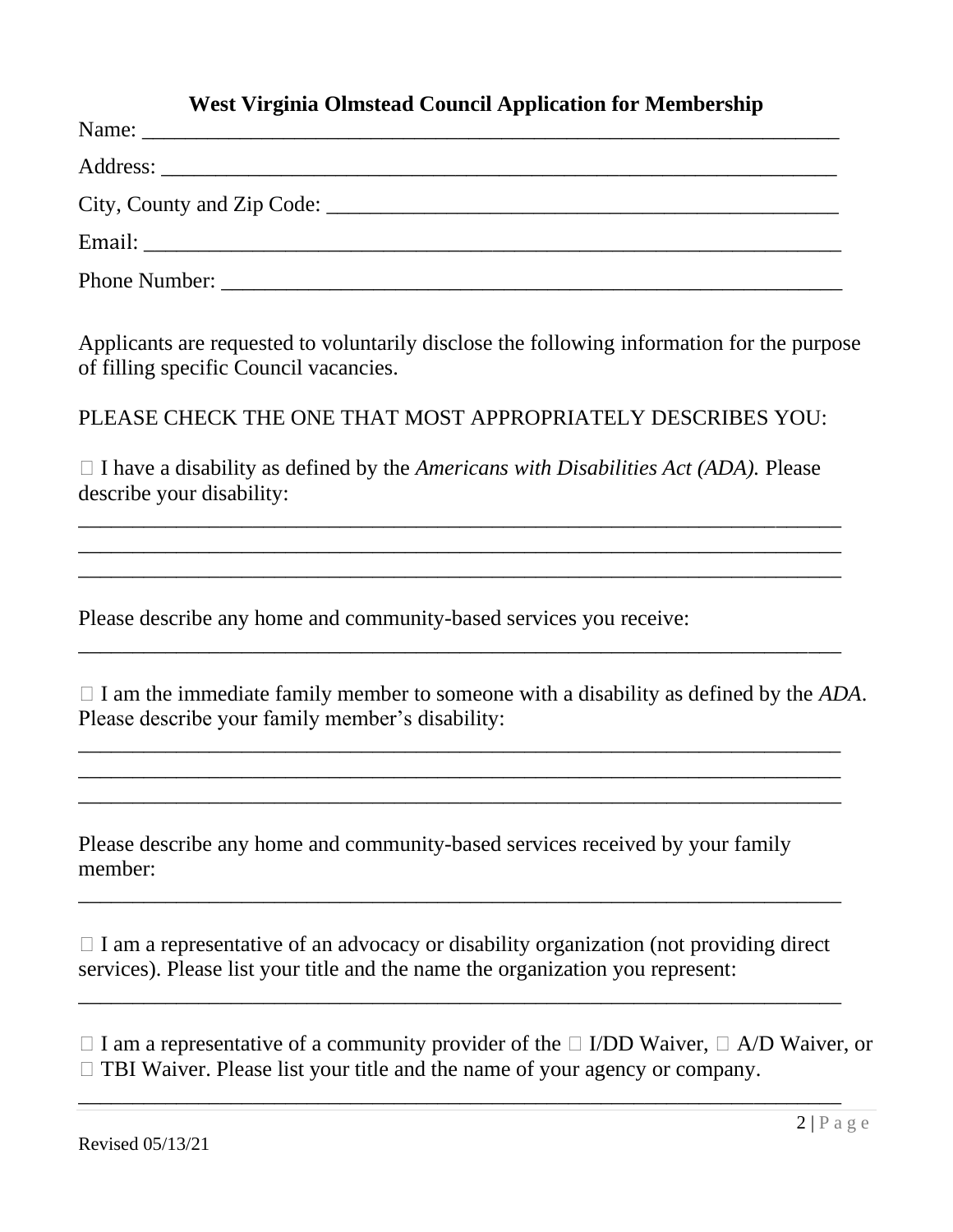## **West Virginia Olmstead Council Application for Membership**

Applicants are requested to voluntarily disclose the following information for the purpose of filling specific Council vacancies.

PLEASE CHECK THE ONE THAT MOST APPROPRIATELY DESCRIBES YOU:

 $\Box$  I have a disability as defined by the *Americans with Disabilities Act (ADA)*. Please describe your disability:

\_\_\_\_\_\_\_\_\_\_\_\_\_\_\_\_\_\_\_\_\_\_\_\_\_\_\_\_\_\_\_\_\_\_\_\_\_\_\_\_\_\_\_\_\_\_\_\_\_\_\_\_\_\_\_\_\_\_\_\_\_\_\_\_\_\_\_\_\_\_ \_\_\_\_\_\_\_\_\_\_\_\_\_\_\_\_\_\_\_\_\_\_\_\_\_\_\_\_\_\_\_\_\_\_\_\_\_\_\_\_\_\_\_\_\_\_\_\_\_\_\_\_\_\_\_\_\_\_\_\_\_\_\_\_\_\_\_\_\_\_ \_\_\_\_\_\_\_\_\_\_\_\_\_\_\_\_\_\_\_\_\_\_\_\_\_\_\_\_\_\_\_\_\_\_\_\_\_\_\_\_\_\_\_\_\_\_\_\_\_\_\_\_\_\_\_\_\_\_\_\_\_\_\_\_\_\_\_\_\_\_

\_\_\_\_\_\_\_\_\_\_\_\_\_\_\_\_\_\_\_\_\_\_\_\_\_\_\_\_\_\_\_\_\_\_\_\_\_\_\_\_\_\_\_\_\_\_\_\_\_\_\_\_\_\_\_\_\_\_\_\_\_\_\_\_\_\_\_\_\_\_

\_\_\_\_\_\_\_\_\_\_\_\_\_\_\_\_\_\_\_\_\_\_\_\_\_\_\_\_\_\_\_\_\_\_\_\_\_\_\_\_\_\_\_\_\_\_\_\_\_\_\_\_\_\_\_\_\_\_\_\_\_\_\_\_\_\_\_\_\_\_ \_\_\_\_\_\_\_\_\_\_\_\_\_\_\_\_\_\_\_\_\_\_\_\_\_\_\_\_\_\_\_\_\_\_\_\_\_\_\_\_\_\_\_\_\_\_\_\_\_\_\_\_\_\_\_\_\_\_\_\_\_\_\_\_\_\_\_\_\_\_ \_\_\_\_\_\_\_\_\_\_\_\_\_\_\_\_\_\_\_\_\_\_\_\_\_\_\_\_\_\_\_\_\_\_\_\_\_\_\_\_\_\_\_\_\_\_\_\_\_\_\_\_\_\_\_\_\_\_\_\_\_\_\_\_\_\_\_\_\_\_

Please describe any home and community-based services you receive:

 $\Box$  I am the immediate family member to someone with a disability as defined by the  $ADA$ . Please describe your family member's disability:

Please describe any home and community-based services received by your family member:

 $\Box$  I am a representative of an advocacy or disability organization (not providing direct services). Please list your title and the name the organization you represent:

\_\_\_\_\_\_\_\_\_\_\_\_\_\_\_\_\_\_\_\_\_\_\_\_\_\_\_\_\_\_\_\_\_\_\_\_\_\_\_\_\_\_\_\_\_\_\_\_\_\_\_\_\_\_\_\_\_\_\_\_\_\_\_\_\_\_\_\_\_\_

\_\_\_\_\_\_\_\_\_\_\_\_\_\_\_\_\_\_\_\_\_\_\_\_\_\_\_\_\_\_\_\_\_\_\_\_\_\_\_\_\_\_\_\_\_\_\_\_\_\_\_\_\_\_\_\_\_\_\_\_\_\_\_\_\_\_\_\_\_\_

\_\_\_\_\_\_\_\_\_\_\_\_\_\_\_\_\_\_\_\_\_\_\_\_\_\_\_\_\_\_\_\_\_\_\_\_\_\_\_\_\_\_\_\_\_\_\_\_\_\_\_\_\_\_\_\_\_\_\_\_\_\_\_\_\_\_\_\_\_\_

 $\Box$  I am a representative of a community provider of the  $\Box$  I/DD Waiver,  $\Box$  A/D Waiver, or  $\Box$  TBI Waiver. Please list your title and the name of your agency or company.